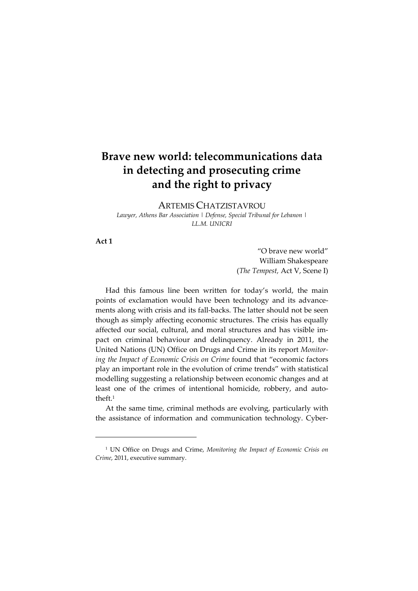# **Brave new world: telecommunications data in detecting and prosecuting crime and the right to privacy**

ARTEMIS CHATZISTAVROU *Lawyer, Athens Bar Association | Defense, Special Tribunal for Lebanon | LL.M. UNICRI*

## **Act 1**

"O brave new world" William Shakespeare (*The Tempest,* Act V, Scene I)

Had this famous line been written for today's world, the main points of exclamation would have been technology and its advancements along with crisis and its fall‐backs. The latter should not be seen though as simply affecting economic structures. The crisis has equally affected our social, cultural, and moral structures and has visible im‐ pact on criminal behaviour and delinquency. Already in 2011, the United Nations (UN) Office on Drugs and Crime in its report *Monitor‐ ing the Impact of Economic Crisis on Crime* found that "economic factors play an important role in the evolution of crime trends" with statistical modelling suggesting a relationship between economic changes and at least one of the crimes of intentional homicide, robbery, and autotheft $1$ 

At the same time, criminal methods are evolving, particularly with the assistance of information and communication technology. Cyber-

<sup>1</sup> UN Office on Drugs and Crime, *Monitoring the Impact of Economic Crisis on Crime*, 2011, executive summary.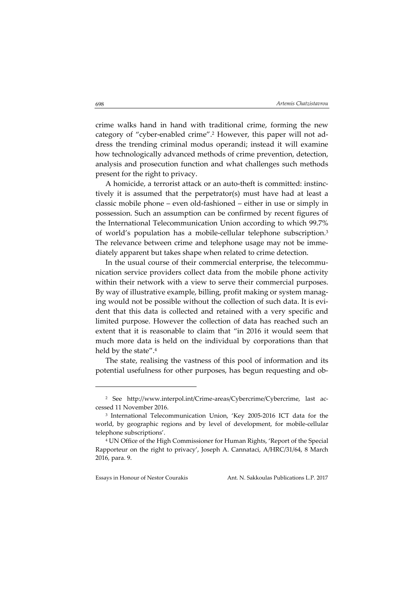crime walks hand in hand with traditional crime, forming the new category of "cyber-enabled crime".<sup>2</sup> However, this paper will not address the trending criminal modus operandi; instead it will examine how technologically advanced methods of crime prevention, detection, analysis and prosecution function and what challenges such methods present for the right to privacy.

A homicide, a terrorist attack or an auto-theft is committed: instinctively it is assumed that the perpetrator(s) must have had at least a classic mobile phone – even old‐fashioned – either in use or simply in possession. Such an assumption can be confirmed by recent figures of the International Telecommunication Union according to which 99.7% of world's population has a mobile‐cellular telephone subscription.3 The relevance between crime and telephone usage may not be immediately apparent but takes shape when related to crime detection.

In the usual course of their commercial enterprise, the telecommunication service providers collect data from the mobile phone activity within their network with a view to serve their commercial purposes. By way of illustrative example, billing, profit making or system manag‐ ing would not be possible without the collection of such data. It is evident that this data is collected and retained with a very specific and limited purpose. However the collection of data has reached such an extent that it is reasonable to claim that "in 2016 it would seem that much more data is held on the individual by corporations than that held by the state".4

The state, realising the vastness of this pool of information and its potential usefulness for other purposes, has begun requesting and ob‐

<sup>&</sup>lt;sup>2</sup> See http://www.interpol.int/Crime-areas/Cybercrime/Cybercrime, last accessed 11 November 2016.

<sup>3</sup> International Telecommunication Union, 'Key 2005‐2016 ICT data for the world, by geographic regions and by level of development, for mobile-cellular telephone subscriptions'.

<sup>4</sup> UN Office of the High Commissioner for Human Rights, 'Report of the Special Rapporteur on the right to privacy', Joseph A. Cannataci, A/HRC/31/64, 8 March 2016, para. 9.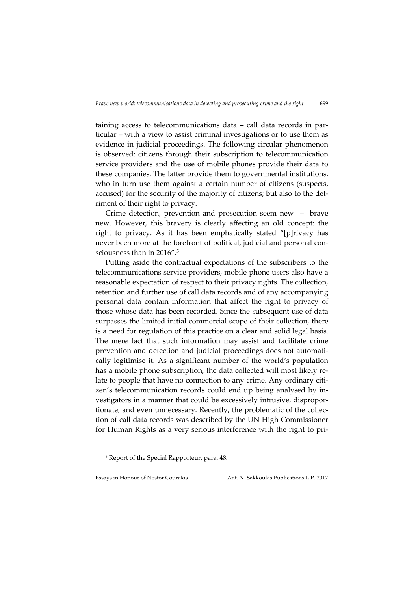taining access to telecommunications data – call data records in par‐ ticular – with a view to assist criminal investigations or to use them as evidence in judicial proceedings. The following circular phenomenon is observed: citizens through their subscription to telecommunication service providers and the use of mobile phones provide their data to these companies. The latter provide them to governmental institutions, who in turn use them against a certain number of citizens (suspects, accused) for the security of the majority of citizens; but also to the det‐ riment of their right to privacy.

Crime detection, prevention and prosecution seem new – brave new. However, this bravery is clearly affecting an old concept: the right to privacy. As it has been emphatically stated "[p]rivacy has never been more at the forefront of political, judicial and personal consciousness than in 2016".5

Putting aside the contractual expectations of the subscribers to the telecommunications service providers, mobile phone users also have a reasonable expectation of respect to their privacy rights. The collection, retention and further use of call data records and of any accompanying personal data contain information that affect the right to privacy of those whose data has been recorded. Since the subsequent use of data surpasses the limited initial commercial scope of their collection, there is a need for regulation of this practice on a clear and solid legal basis. The mere fact that such information may assist and facilitate crime prevention and detection and judicial proceedings does not automatically legitimise it. As a significant number of the world's population has a mobile phone subscription, the data collected will most likely relate to people that have no connection to any crime. Any ordinary citizen's telecommunication records could end up being analysed by in‐ vestigators in a manner that could be excessively intrusive, dispropor‐ tionate, and even unnecessary. Recently, the problematic of the collec‐ tion of call data records was described by the UN High Commissioner for Human Rights as a very serious interference with the right to pri‐

<sup>5</sup> Report of the Special Rapporteur, para. 48.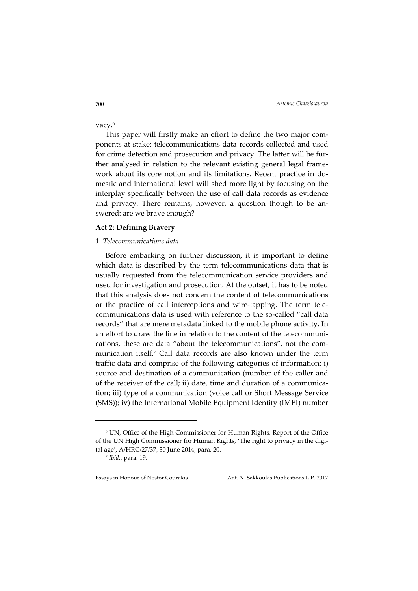vacy.<sup>6</sup>

This paper will firstly make an effort to define the two major components at stake: telecommunications data records collected and used for crime detection and prosecution and privacy. The latter will be further analysed in relation to the relevant existing general legal frame‐ work about its core notion and its limitations. Recent practice in domestic and international level will shed more light by focusing on the interplay specifically between the use of call data records as evidence and privacy. There remains, however, a question though to be answered: are we brave enough?

## **Act 2: Defining Bravery**

#### 1. *Telecommunications data*

Before embarking on further discussion, it is important to define which data is described by the term telecommunications data that is usually requested from the telecommunication service providers and used for investigation and prosecution. At the outset, it has to be noted that this analysis does not concern the content of telecommunications or the practice of call interceptions and wire‐tapping. The term tele‐ communications data is used with reference to the so-called "call data records" that are mere metadata linked to the mobile phone activity. In an effort to draw the line in relation to the content of the telecommunications, these are data "about the telecommunications", not the com‐ munication itself.7 Call data records are also known under the term traffic data and comprise of the following categories of information: i) source and destination of a communication (number of the caller and of the receiver of the call; ii) date, time and duration of a communication; iii) type of a communication (voice call or Short Message Service (SMS)); iv) the International Mobile Equipment Identity (IMEI) number

<sup>6</sup> UN, Office of the High Commissioner for Human Rights, Report of the Office of the UN High Commissioner for Human Rights, 'The right to privacy in the digital age', A/HRC/27/37, 30 June 2014, para. 20.

<sup>7</sup> *Ibid*., para. 19.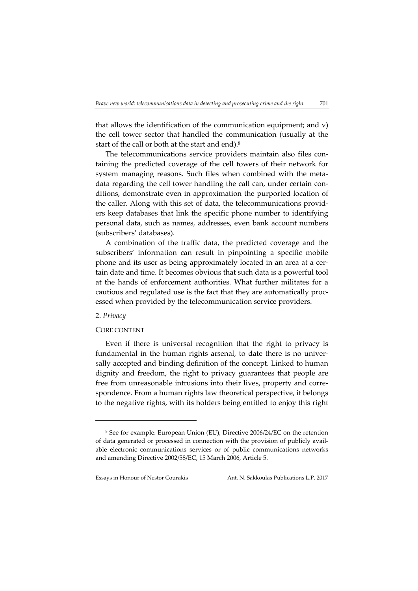that allows the identification of the communication equipment; and v) the cell tower sector that handled the communication (usually at the start of the call or both at the start and end).<sup>8</sup>

The telecommunications service providers maintain also files containing the predicted coverage of the cell towers of their network for system managing reasons. Such files when combined with the metadata regarding the cell tower handling the call can, under certain conditions, demonstrate even in approximation the purported location of the caller. Along with this set of data, the telecommunications provid‐ ers keep databases that link the specific phone number to identifying personal data, such as names, addresses, even bank account numbers (subscribers' databases).

A combination of the traffic data, the predicted coverage and the subscribers' information can result in pinpointing a specific mobile phone and its user as being approximately located in an area at a certain date and time. It becomes obvious that such data is a powerful tool at the hands of enforcement authorities. What further militates for a cautious and regulated use is the fact that they are automatically processed when provided by the telecommunication service providers.

## 2. *Privacy*

## CORE CONTENT

Even if there is universal recognition that the right to privacy is fundamental in the human rights arsenal, to date there is no universally accepted and binding definition of the concept. Linked to human dignity and freedom, the right to privacy guarantees that people are free from unreasonable intrusions into their lives, property and correspondence. From a human rights law theoretical perspective, it belongs to the negative rights, with its holders being entitled to enjoy this right

<sup>8</sup> See for example: European Union (EU), Directive 2006/24/EC on the retention of data generated or processed in connection with the provision of publicly avail‐ able electronic communications services or of public communications networks and amending Directive 2002/58/EC, 15 March 2006, Article 5.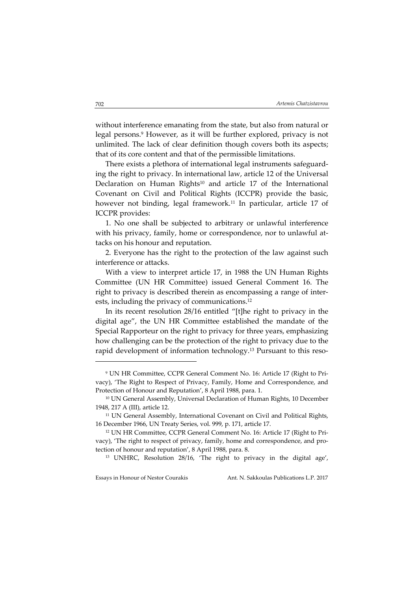without interference emanating from the state, but also from natural or legal persons.9 However, as it will be further explored, privacy is not unlimited. The lack of clear definition though covers both its aspects; that of its core content and that of the permissible limitations.

There exists a plethora of international legal instruments safeguard‐ ing the right to privacy. In international law, article 12 of the Universal Declaration on Human Rights<sup>10</sup> and article 17 of the International Covenant on Civil and Political Rights (ICCPR) provide the basic, however not binding, legal framework.<sup>11</sup> In particular, article 17 of ICCPR provides:

1. No one shall be subjected to arbitrary or unlawful interference with his privacy, family, home or correspondence, nor to unlawful attacks on his honour and reputation.

2. Everyone has the right to the protection of the law against such interference or attacks.

With a view to interpret article 17, in 1988 the UN Human Rights Committee (UN HR Committee) issued General Comment 16. The right to privacy is described therein as encompassing a range of inter‐ ests, including the privacy of communications.12

In its recent resolution 28/16 entitled "[t]he right to privacy in the digital age", the UN HR Committee established the mandate of the Special Rapporteur on the right to privacy for three years, emphasizing how challenging can be the protection of the right to privacy due to the rapid development of information technology.<sup>13</sup> Pursuant to this reso-

<sup>9</sup> UN HR Committee, CCPR General Comment No. 16: Article 17 (Right to Pri‐ vacy), 'The Right to Respect of Privacy, Family, Home and Correspondence, and Protection of Honour and Reputation', 8 April 1988, para. 1.

<sup>&</sup>lt;sup>10</sup> UN General Assembly, Universal Declaration of Human Rights, 10 December 1948, 217 A (III), article 12.

<sup>&</sup>lt;sup>11</sup> UN General Assembly, International Covenant on Civil and Political Rights, 16 December 1966, UN Treaty Series, vol. 999, p. 171, article 17.

<sup>12</sup> UN HR Committee, CCPR General Comment No. 16: Article 17 (Right to Pri‐ vacy), 'The right to respect of privacy, family, home and correspondence, and protection of honour and reputation', 8 April 1988, para. 8.

<sup>13</sup> UNHRC, Resolution 28/16, 'The right to privacy in the digital age',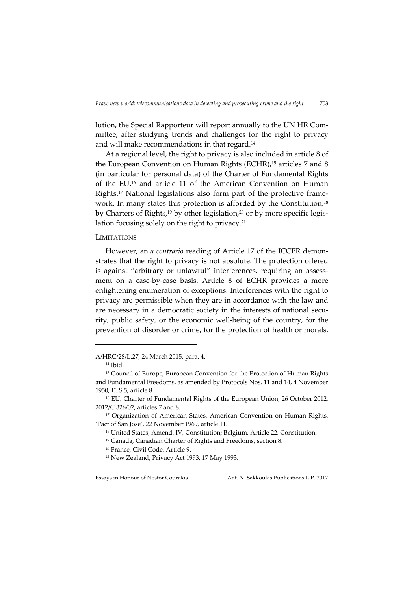lution, the Special Rapporteur will report annually to the UN HR Com‐ mittee, after studying trends and challenges for the right to privacy and will make recommendations in that regard.14

At a regional level, the right to privacy is also included in article 8 of the European Convention on Human Rights (ECHR),<sup>15</sup> articles 7 and 8 (in particular for personal data) of the Charter of Fundamental Rights of the EU,16 and article 11 of the American Convention on Human Rights.17 National legislations also form part of the protective frame‐ work. In many states this protection is afforded by the Constitution,<sup>18</sup> by Charters of Rights,<sup>19</sup> by other legislation,<sup>20</sup> or by more specific legislation focusing solely on the right to privacy.<sup>21</sup>

## **LIMITATIONS**

However, an *a contrario* reading of Article 17 of the ICCPR demon‐ strates that the right to privacy is not absolute. The protection offered is against "arbitrary or unlawful" interferences, requiring an assessment on a case-by-case basis. Article 8 of ECHR provides a more enlightening enumeration of exceptions. Interferences with the right to privacy are permissible when they are in accordance with the law and are necessary in a democratic society in the interests of national security, public safety, or the economic well‐being of the country, for the prevention of disorder or crime, for the protection of health or morals,

<u> Andrew Maria (1989)</u>

Essays in Honour of Nestor Courakis Ant. N. Sakkoulas Publications L.P. 2017

A/HRC/28/L.27, 24 March 2015, para. 4. <sup>14</sup> Ibid.

<sup>&</sup>lt;sup>15</sup> Council of Europe, European Convention for the Protection of Human Rights and Fundamental Freedoms, as amended by Protocols Nos. 11 and 14, 4 November 1950, ETS 5, article 8.

<sup>&</sup>lt;sup>16</sup> EU, Charter of Fundamental Rights of the European Union, 26 October 2012, 2012/C 326/02, articles 7 and 8.

<sup>&</sup>lt;sup>17</sup> Organization of American States, American Convention on Human Rights, 'Pact of San Jose', 22 November 1969, article 11.

<sup>18</sup> United States, Amend. IV, Constitution; Belgium, Article 22, Constitution.

<sup>19</sup> Canada, Canadian Charter of Rights and Freedoms, section 8.

<sup>20</sup> France, Civil Code, Article 9.

<sup>21</sup> New Zealand, Privacy Act 1993, 17 May 1993.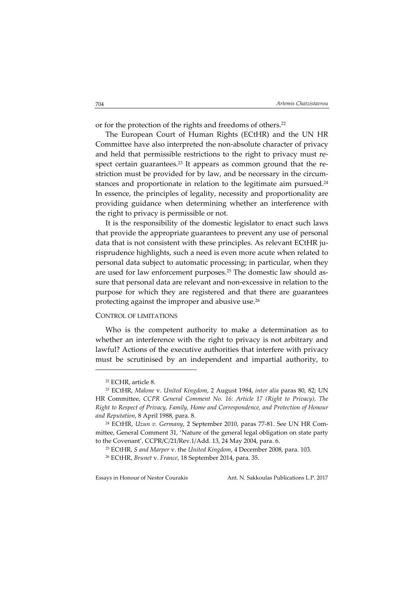or for the protection of the rights and freedoms of others.<sup>22</sup>

The European Court of Human Rights (ECtHR) and the UN HR Committee have also interpreted the non‐absolute character of privacy and held that permissible restrictions to the right to privacy must re‐ spect certain guarantees.<sup>23</sup> It appears as common ground that the restriction must be provided for by law, and be necessary in the circumstances and proportionate in relation to the legitimate aim pursued.<sup>24</sup> In essence, the principles of legality, necessity and proportionality are providing guidance when determining whether an interference with the right to privacy is permissible or not.

It is the responsibility of the domestic legislator to enact such laws that provide the appropriate guarantees to prevent any use of personal data that is not consistent with these principles. As relevant ECtHR jurisprudence highlights, such a need is even more acute when related to personal data subject to automatic processing; in particular, when they are used for law enforcement purposes.<sup>25</sup> The domestic law should assure that personal data are relevant and non‐excessive in relation to the purpose for which they are registered and that there are guarantees protecting against the improper and abusive use.26

## CONTROL OF LIMITATIONS

Who is the competent authority to make a determination as to whether an interference with the right to privacy is not arbitrary and lawful? Actions of the executive authorities that interfere with privacy must be scrutinised by an independent and impartial authority, to

<sup>22</sup> ECHR, article 8.

<sup>23</sup> ECtHR, *Malone* v. *United Kingdom*, 2 August 1984, *inter alia* paras 80, 82; UN HR Committee, *CCPR General Comment No. 16: Article 17 (Right to Privacy), The Right to Respect of Privacy, Family, Home and Correspondence, and Protection of Honour and Reputation*, 8 April 1988, para. 8.

<sup>24</sup> ECtHR, *Uzun v. Germany*, 2 September 2010, paras 77‐81. See UN HR Com‐ mittee, General Comment 31, 'Nature of the general legal obligation on state party to the Covenant', CCPR/C/21/Rev.1/Add. 13, 24 May 2004, para. 6.

<sup>25</sup> ECtHR, *S and Marper* v. the *United Kingdom*, 4 December 2008, para. 103.

<sup>26</sup> ECtHR, *Brunet* v. *France*, 18 September 2014, para. 35.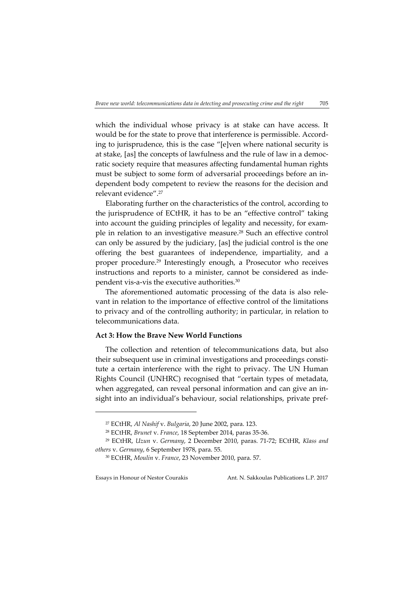which the individual whose privacy is at stake can have access. It would be for the state to prove that interference is permissible. According to jurisprudence, this is the case "[e]ven where national security is at stake, [as] the concepts of lawfulness and the rule of law in a democ‐ ratic society require that measures affecting fundamental human rights must be subject to some form of adversarial proceedings before an independent body competent to review the reasons for the decision and relevant evidence".27

Elaborating further on the characteristics of the control, according to the jurisprudence of ECtHR, it has to be an "effective control" taking into account the guiding principles of legality and necessity, for example in relation to an investigative measure.28 Such an effective control can only be assured by the judiciary, [as] the judicial control is the one offering the best guarantees of independence, impartiality, and a proper procedure.29 Interestingly enough, a Prosecutor who receives instructions and reports to a minister, cannot be considered as independent vis-a-vis the executive authorities.<sup>30</sup>

The aforementioned automatic processing of the data is also relevant in relation to the importance of effective control of the limitations to privacy and of the controlling authority; in particular, in relation to telecommunications data.

## **Act 3: How the Brave New World Functions**

The collection and retention of telecommunications data, but also their subsequent use in criminal investigations and proceedings constitute a certain interference with the right to privacy. The UN Human Rights Council (UNHRC) recognised that "certain types of metadata, when aggregated, can reveal personal information and can give an insight into an individual's behaviour, social relationships, private pref‐

<sup>27</sup> ECtHR, *Al Nashif* v. *Bulgaria*, 20 June 2002, para. 123.

<sup>28</sup> ECtHR, *Brunet* v. *France*, 18 September 2014, paras 35‐36.

<sup>29</sup> ECtHR, *Uzun* v. *Germany*, 2 December 2010, paras. 71‐72; ECtHR, *Klass and others* v. *Germany*, 6 September 1978, para. 55.

<sup>30</sup> ECtHR, *Moulin* v. *France*, 23 November 2010, para. 57.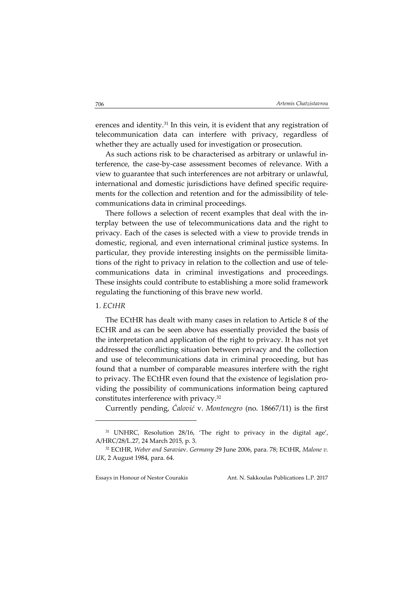erences and identity.31 In this vein, it is evident that any registration of telecommunication data can interfere with privacy, regardless of whether they are actually used for investigation or prosecution.

As such actions risk to be characterised as arbitrary or unlawful in‐ terference, the case‐by‐case assessment becomes of relevance. With a view to guarantee that such interferences are not arbitrary or unlawful, international and domestic jurisdictions have defined specific requirements for the collection and retention and for the admissibility of telecommunications data in criminal proceedings.

There follows a selection of recent examples that deal with the in‐ terplay between the use of telecommunications data and the right to privacy. Each of the cases is selected with a view to provide trends in domestic, regional, and even international criminal justice systems. In particular, they provide interesting insights on the permissible limitations of the right to privacy in relation to the collection and use of tele‐ communications data in criminal investigations and proceedings. These insights could contribute to establishing a more solid framework regulating the functioning of this brave new world.

## 1. *ECtHR*

The ECtHR has dealt with many cases in relation to Article 8 of the ECHR and as can be seen above has essentially provided the basis of the interpretation and application of the right to privacy. It has not yet addressed the conflicting situation between privacy and the collection and use of telecommunications data in criminal proceeding, but has found that a number of comparable measures interfere with the right to privacy. The ECtHR even found that the existence of legislation pro‐ viding the possibility of communications information being captured constitutes interference with privacy.32

Currently pending, *Ćalović* v. *Montenegro* (no. 18667/11) is the first

<sup>31</sup> UNHRC, Resolution 28/16, 'The right to privacy in the digital age', A/HRC/28/L.27, 24 March 2015, p. 3.

<sup>32</sup> ECtHR, *Weber and Saravia*v. *Germany*, 29 June 2006, para. 78; ECtHR, *Malone v. UK*, 2 August 1984, para. 64.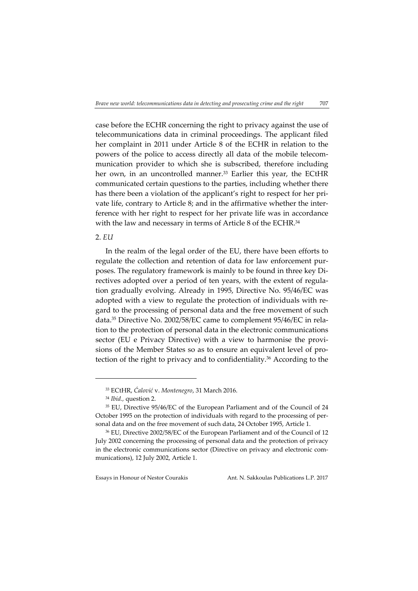707

case before the ECHR concerning the right to privacy against the use of telecommunications data in criminal proceedings. The applicant filed her complaint in 2011 under Article 8 of the ECHR in relation to the powers of the police to access directly all data of the mobile telecom‐ munication provider to which she is subscribed, therefore including her own, in an uncontrolled manner.<sup>33</sup> Earlier this year, the ECtHR communicated certain questions to the parties, including whether there has there been a violation of the applicant's right to respect for her private life, contrary to Article 8; and in the affirmative whether the interference with her right to respect for her private life was in accordance with the law and necessary in terms of Article 8 of the ECHR.<sup>34</sup>

## 2. *EU*

In the realm of the legal order of the EU, there have been efforts to regulate the collection and retention of data for law enforcement purposes. The regulatory framework is mainly to be found in three key Di‐ rectives adopted over a period of ten years, with the extent of regulation gradually evolving. Already in 1995, Directive No. 95/46/EC was adopted with a view to regulate the protection of individuals with re‐ gard to the processing of personal data and the free movement of such data.35 Directive No. 2002/58/EC came to complement 95/46/EC in rela‐ tion to the protection of personal data in the electronic communications sector (EU e Privacy Directive) with a view to harmonise the provisions of the Member States so as to ensure an equivalent level of pro‐ tection of the right to privacy and to confidentiality.36 According to the

<sup>33</sup> ECtHR, *Ćalović* v. *Montenegro*, 31 March 2016.

<sup>34</sup> *Ibid.,* question 2.

<sup>35</sup> EU, Directive 95/46/EC of the European Parliament and of the Council of 24 October 1995 on the protection of individuals with regard to the processing of per‐ sonal data and on the free movement of such data, 24 October 1995, Article 1.

<sup>36</sup> EU, Directive 2002/58/EC of the European Parliament and of the Council of 12 July 2002 concerning the processing of personal data and the protection of privacy in the electronic communications sector (Directive on privacy and electronic communications), 12 July 2002, Article 1.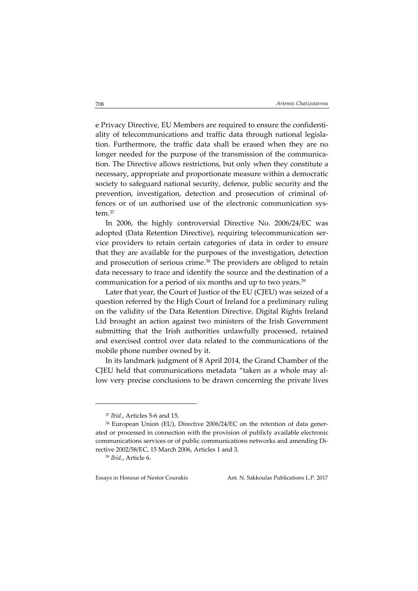e Privacy Directive, EU Members are required to ensure the confidenti‐ ality of telecommunications and traffic data through national legisla‐ tion. Furthermore, the traffic data shall be erased when they are no longer needed for the purpose of the transmission of the communication. The Directive allows restrictions, but only when they constitute a necessary, appropriate and proportionate measure within a democratic society to safeguard national security, defence, public security and the prevention, investigation, detection and prosecution of criminal of‐ fences or of un authorised use of the electronic communication system $37$ 

In 2006, the highly controversial Directive No. 2006/24/EC was adopted (Data Retention Directive), requiring telecommunication service providers to retain certain categories of data in order to ensure that they are available for the purposes of the investigation, detection and prosecution of serious crime.38 The providers are obliged to retain data necessary to trace and identify the source and the destination of a communication for a period of six months and up to two years.<sup>39</sup>

Later that year, the Court of Justice of the EU (CJEU) was seized of a question referred by the High Court of Ireland for a preliminary ruling on the validity of the Data Retention Directive. Digital Rights Ireland Ltd brought an action against two ministers of the Irish Government submitting that the Irish authorities unlawfully processed, retained and exercised control over data related to the communications of the mobile phone number owned by it.

In its landmark judgment of 8 April 2014, the Grand Chamber of the CJEU held that communications metadata "taken as a whole may al‐ low very precise conclusions to be drawn concerning the private lives

<sup>&</sup>lt;u> Andrew Maria (1989)</u> <sup>37</sup> *Ibid*., Articles 5‐6 and 15.

<sup>&</sup>lt;sup>38</sup> European Union (EU), Directive 2006/24/EC on the retention of data generated or processed in connection with the provision of publicly available electronic communications services or of public communications networks and amending Di‐ rective 2002/58/EC, 15 March 2006, Articles 1 and 3.

<sup>39</sup> *Ibid.*, Article 6.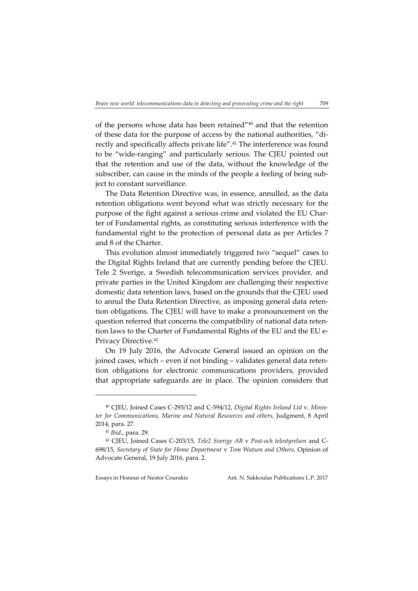of the persons whose data has been retained"40 and that the retention of these data for the purpose of access by the national authorities, "di‐ rectly and specifically affects private life".41 The interference was found to be "wide-ranging" and particularly serious. The CJEU pointed out that the retention and use of the data, without the knowledge of the subscriber, can cause in the minds of the people a feeling of being subject to constant surveillance.

The Data Retention Directive was, in essence, annulled, as the data retention obligations went beyond what was strictly necessary for the purpose of the fight against a serious crime and violated the EU Charter of Fundamental rights, as constituting serious interference with the fundamental right to the protection of personal data as per Articles 7 and 8 of the Charter.

This evolution almost immediately triggered two "sequel" cases to the Digital Rights Ireland that are currently pending before the CJEU. Tele 2 Sverige, a Swedish telecommunication services provider, and private parties in the United Kingdom are challenging their respective domestic data retention laws, based on the grounds that the CJEU used to annul the Data Retention Directive, as imposing general data retention obligations. The CJEU will have to make a pronouncement on the question referred that concerns the compatibility of national data retention laws to the Charter of Fundamental Rights of the EU and the EU e‐ Privacy Directive.42

On 19 July 2016, the Advocate General issued an opinion on the joined cases, which – even if not binding – validates general data retention obligations for electronic communications providers, provided that appropriate safeguards are in place. The opinion considers that

<sup>40</sup> CJEU, Joined Cases C‐293/12 and C‐594/12, *Digital Rights Ireland Ltd* v. *Minis‐ ter for Communications, Marine and Natural Resources and others*, Judgment, 8 April 2014, para. 27.

<sup>41</sup> *Ibid*., para. 29.

<sup>42</sup> CJEU, Joined Cases C‐203/15, *Tele2 Sverige AB* v *Post‐och telestyrelsen* and C‐ 698/15, *Secretary of State for Home Department* v *Tom Watson and Others*, Opinion of Advocate General, 19 July 2016, para. 2.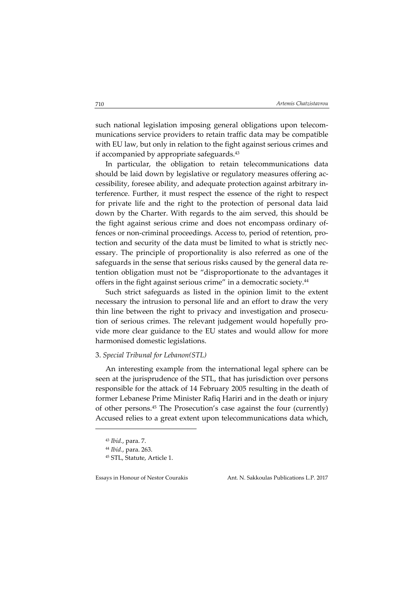such national legislation imposing general obligations upon telecommunications service providers to retain traffic data may be compatible with EU law, but only in relation to the fight against serious crimes and if accompanied by appropriate safeguards.<sup>43</sup>

In particular, the obligation to retain telecommunications data should be laid down by legislative or regulatory measures offering accessibility, foresee ability, and adequate protection against arbitrary in‐ terference. Further, it must respect the essence of the right to respect for private life and the right to the protection of personal data laid down by the Charter. With regards to the aim served, this should be the fight against serious crime and does not encompass ordinary of‐ fences or non-criminal proceedings. Access to, period of retention, protection and security of the data must be limited to what is strictly necessary. The principle of proportionality is also referred as one of the safeguards in the sense that serious risks caused by the general data retention obligation must not be "disproportionate to the advantages it offers in the fight against serious crime" in a democratic society.44

Such strict safeguards as listed in the opinion limit to the extent necessary the intrusion to personal life and an effort to draw the very thin line between the right to privacy and investigation and prosecution of serious crimes. The relevant judgement would hopefully pro‐ vide more clear guidance to the EU states and would allow for more harmonised domestic legislations.

#### 3. *Special Tribunal for Lebanon(STL)*

An interesting example from the international legal sphere can be seen at the jurisprudence of the STL, that has jurisdiction over persons responsible for the attack of 14 February 2005 resulting in the death of former Lebanese Prime Minister Rafiq Hariri and in the death or injury of other persons.45 The Prosecution's case against the four (currently) Accused relies to a great extent upon telecommunications data which,

<u> Andrew Maria (1989)</u>

Essays in Honour of Nestor Courakis Ant. N. Sakkoulas Publications L.P. 2017

<sup>43</sup> *Ibid.*, para. 7.

<sup>44</sup> *Ibid.*, para. 263.

<sup>45</sup> STL, Statute, Article 1.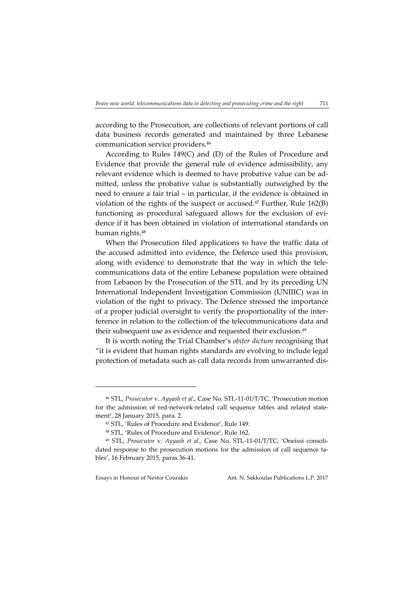according to the Prosecution, are collections of relevant portions of call data business records generated and maintained by three Lebanese communication service providers.46

According to Rules 149(C) and (D) of the Rules of Procedure and Evidence that provide the general rule of evidence admissibility, any relevant evidence which is deemed to have probative value can be ad‐ mitted, unless the probative value is substantially outweighed by the need to ensure a fair trial – in particular, if the evidence is obtained in violation of the rights of the suspect or accused.<sup>47</sup> Further, Rule 162(B) functioning as procedural safeguard allows for the exclusion of evidence if it has been obtained in violation of international standards on human rights.48

When the Prosecution filed applications to have the traffic data of the accused admitted into evidence, the Defence used this provision, along with evidence to demonstrate that the way in which the telecommunications data of the entire Lebanese population were obtained from Lebanon by the Prosecution of the STL and by its preceding UN International Independent Investigation Commission (UNIIIC) was in violation of the right to privacy. The Defence stressed the importance of a proper judicial oversight to verify the proportionality of the inter‐ ference in relation to the collection of the telecommunications data and their subsequent use as evidence and requested their exclusion.<sup>49</sup>

It is worth noting the Trial Chamber's *obiter dictum* recognising that "it is evident that human rights standards are evolving to include legal protection of metadata such as call data records from unwarranted dis‐

<sup>46</sup> STL, *Prosecutor* v. *Ayyash et al*., Case No. STL‐11‐01/T/TC, 'Prosecution motion for the admission of red-network-related call sequence tables and related statement', 28 January 2015, para. 2.

<sup>47</sup> STL, 'Rules of Procedure and Evidence', Rule 149.

<sup>48</sup> STL, 'Rules of Procedure and Evidence', Rule 162.

<sup>49</sup> STL, *Prosecutor* v. *Ayyash et al*., Case No. STL‐11‐01/T/TC, 'Oneissi consoli‐ dated response to the prosecution motions for the admission of call sequence tables', 16 February 2015, paras 36‐41.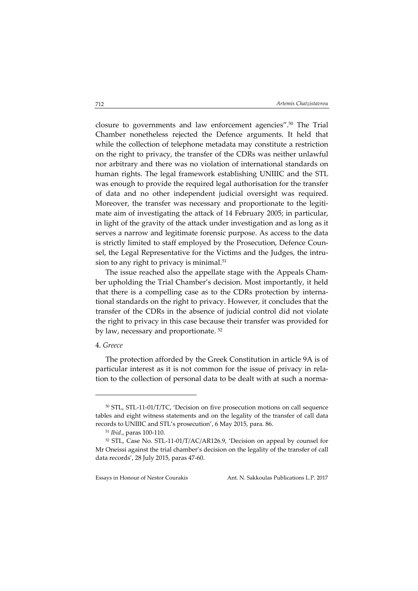closure to governments and law enforcement agencies".50 The Trial Chamber nonetheless rejected the Defence arguments. It held that while the collection of telephone metadata may constitute a restriction on the right to privacy, the transfer of the CDRs was neither unlawful nor arbitrary and there was no violation of international standards on human rights. The legal framework establishing UNIIIC and the STL was enough to provide the required legal authorisation for the transfer of data and no other independent judicial oversight was required. Moreover, the transfer was necessary and proportionate to the legitimate aim of investigating the attack of 14 February 2005; in particular, in light of the gravity of the attack under investigation and as long as it serves a narrow and legitimate forensic purpose. As access to the data is strictly limited to staff employed by the Prosecution, Defence Counsel, the Legal Representative for the Victims and the Judges, the intrusion to any right to privacy is minimal.<sup>51</sup>

The issue reached also the appellate stage with the Appeals Chamber upholding the Trial Chamber's decision. Most importantly, it held that there is a compelling case as to the CDRs protection by interna‐ tional standards on the right to privacy. However, it concludes that the transfer of the CDRs in the absence of judicial control did not violate the right to privacy in this case because their transfer was provided for by law, necessary and proportionate. <sup>52</sup>

## 4. *Greece*

The protection afforded by the Greek Constitution in article 9A is of particular interest as it is not common for the issue of privacy in relation to the collection of personal data to be dealt with at such a norma-

<sup>50</sup> STL, STL‐11‐01/T/TC, 'Decision on five prosecution motions on call sequence tables and eight witness statements and on the legality of the transfer of call data records to UNIIIC and STL's prosecution', 6 May 2015, para. 86.

<sup>51</sup> *Ibid*., paras 100‐110.

<sup>52</sup> STL, Case No. STL‐11‐01/T/AC/AR126.9, 'Decision on appeal by counsel for Mr Oneissi against the trial chamber's decision on the legality of the transfer of call data records', 28 July 2015, paras 47‐60.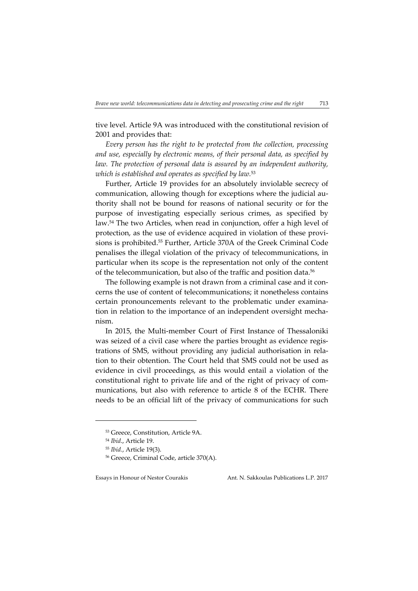tive level. Article 9A was introduced with the constitutional revision of 2001 and provides that:

713

*Every person has the right to be protected from the collection, processing and use, especially by electronic means, of their personal data, as specified by law. The protection of personal data is assured by an independent authority, which is established and operates as specified by law.*<sup>53</sup>

Further, Article 19 provides for an absolutely inviolable secrecy of communication, allowing though for exceptions where the judicial authority shall not be bound for reasons of national security or for the purpose of investigating especially serious crimes, as specified by law.54 The two Articles, when read in conjunction, offer a high level of protection, as the use of evidence acquired in violation of these provisions is prohibited.55 Further, Article 370A of the Greek Criminal Code penalises the illegal violation of the privacy of telecommunications, in particular when its scope is the representation not only of the content of the telecommunication, but also of the traffic and position data.<sup>56</sup>

The following example is not drawn from a criminal case and it concerns the use of content of telecommunications; it nonetheless contains certain pronouncements relevant to the problematic under examination in relation to the importance of an independent oversight mechanism.

In 2015, the Multi-member Court of First Instance of Thessaloniki was seized of a civil case where the parties brought as evidence registrations of SMS, without providing any judicial authorisation in rela‐ tion to their obtention. The Court held that SMS could not be used as evidence in civil proceedings, as this would entail a violation of the constitutional right to private life and of the right of privacy of communications, but also with reference to article 8 of the ECHR. There needs to be an official lift of the privacy of communications for such

<u> Andrew Maria (1989)</u>

Essays in Honour of Nestor Courakis Ant. N. Sakkoulas Publications L.P. 2017

<sup>53</sup> Greece, Constitution, Article 9A.

<sup>54</sup> *Ibid*., Article 19.

<sup>55</sup> *Ibid.*, Article 19(3).

<sup>56</sup> Greece, Criminal Code, article 370(A).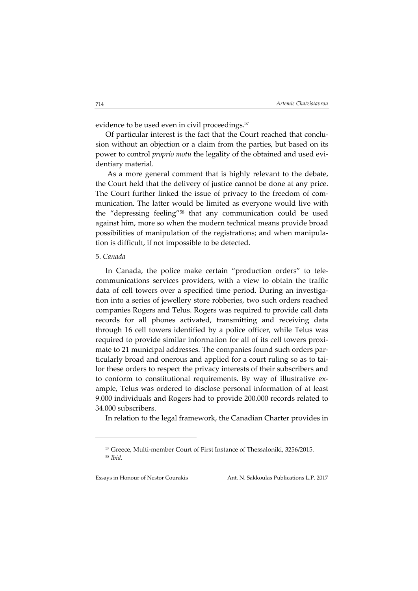evidence to be used even in civil proceedings.<sup>57</sup>

Of particular interest is the fact that the Court reached that conclusion without an objection or a claim from the parties, but based on its power to control *proprio motu* the legality of the obtained and used evidentiary material.

As a more general comment that is highly relevant to the debate, the Court held that the delivery of justice cannot be done at any price. The Court further linked the issue of privacy to the freedom of communication. The latter would be limited as everyone would live with the "depressing feeling"58 that any communication could be used against him, more so when the modern technical means provide broad possibilities of manipulation of the registrations; and when manipula‐ tion is difficult, if not impossible to be detected.

## 5. *Canada*

In Canada, the police make certain "production orders" to tele‐ communications services providers, with a view to obtain the traffic data of cell towers over a specified time period. During an investigation into a series of jewellery store robberies, two such orders reached companies Rogers and Telus. Rogers was required to provide call data records for all phones activated, transmitting and receiving data through 16 cell towers identified by a police officer, while Telus was required to provide similar information for all of its cell towers proximate to 21 municipal addresses. The companies found such orders particularly broad and onerous and applied for a court ruling so as to tailor these orders to respect the privacy interests of their subscribers and to conform to constitutional requirements. By way of illustrative example, Telus was ordered to disclose personal information of at least 9.000 individuals and Rogers had to provide 200.000 records related to 34.000 subscribers.

In relation to the legal framework, the Canadian Charter provides in

<sup>&</sup>lt;sup>57</sup> Greece, Multi-member Court of First Instance of Thessaloniki, 3256/2015. <sup>58</sup> *Ibid*.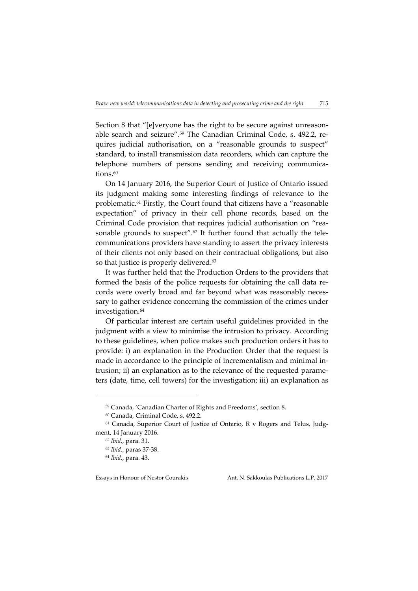Section 8 that "[e]veryone has the right to be secure against unreasonable search and seizure".<sup>59</sup> The Canadian Criminal Code, s. 492.2, requires judicial authorisation, on a "reasonable grounds to suspect" standard, to install transmission data recorders, which can capture the telephone numbers of persons sending and receiving communications.<sup>60</sup>

On 14 January 2016, the Superior Court of Justice of Ontario issued its judgment making some interesting findings of relevance to the problematic.61 Firstly, the Court found that citizens have a "reasonable expectation" of privacy in their cell phone records, based on the Criminal Code provision that requires judicial authorisation on "rea‐ sonable grounds to suspect".<sup>62</sup> It further found that actually the telecommunications providers have standing to assert the privacy interests of their clients not only based on their contractual obligations, but also so that justice is properly delivered.<sup>63</sup>

It was further held that the Production Orders to the providers that formed the basis of the police requests for obtaining the call data re‐ cords were overly broad and far beyond what was reasonably necessary to gather evidence concerning the commission of the crimes under investigation.<sup>64</sup>

Of particular interest are certain useful guidelines provided in the judgment with a view to minimise the intrusion to privacy. According to these guidelines, when police makes such production orders it has to provide: i) an explanation in the Production Order that the request is made in accordance to the principle of incrementalism and minimal in‐ trusion; ii) an explanation as to the relevance of the requested parame‐ ters (date, time, cell towers) for the investigation; iii) an explanation as

<u> Andrew Maria (1989)</u>

Essays in Honour of Nestor Courakis Ant. N. Sakkoulas Publications L.P. 2017

<sup>59</sup> Canada, 'Canadian Charter of Rights and Freedoms', section 8.

<sup>60</sup> Canada, Criminal Code, s. 492.2.

<sup>&</sup>lt;sup>61</sup> Canada, Superior Court of Justice of Ontario, R v Rogers and Telus, Judgment, 14 January 2016.

<sup>62</sup> *Ibid*., para. 31.

<sup>63</sup> *Ibid*., paras 37‐38.

<sup>64</sup> *Ibid*., para. 43.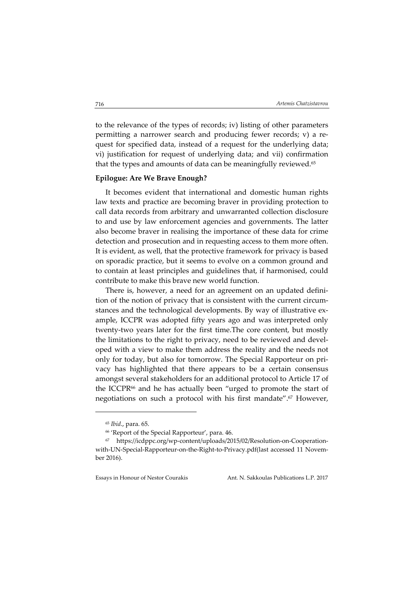to the relevance of the types of records; iv) listing of other parameters permitting a narrower search and producing fewer records; v) a re‐ quest for specified data, instead of a request for the underlying data; vi) justification for request of underlying data; and vii) confirmation that the types and amounts of data can be meaningfully reviewed.<sup>65</sup>

## **Epilogue: Are We Brave Enough?**

It becomes evident that international and domestic human rights law texts and practice are becoming braver in providing protection to call data records from arbitrary and unwarranted collection disclosure to and use by law enforcement agencies and governments. The latter also become braver in realising the importance of these data for crime detection and prosecution and in requesting access to them more often. It is evident, as well, that the protective framework for privacy is based on sporadic practice, but it seems to evolve on a common ground and to contain at least principles and guidelines that, if harmonised, could contribute to make this brave new world function.

There is, however, a need for an agreement on an updated defini‐ tion of the notion of privacy that is consistent with the current circumstances and the technological developments. By way of illustrative example, ICCPR was adopted fifty years ago and was interpreted only twenty‐two years later for the first time.The core content, but mostly the limitations to the right to privacy, need to be reviewed and developed with a view to make them address the reality and the needs not only for today, but also for tomorrow. The Special Rapporteur on pri‐ vacy has highlighted that there appears to be a certain consensus amongst several stakeholders for an additional protocol to Article 17 of the ICCPR<sup>66</sup> and he has actually been "urged to promote the start of negotiations on such a protocol with his first mandate".<sup>67</sup> However,

<sup>65</sup> *Ibid*., para. 65.

<sup>66</sup> 'Report of the Special Rapporteur', para. 46.

<sup>67</sup> https://icdppc.org/wp‐content/uploads/2015/02/Resolution‐on‐Cooperation‐ with‐UN‐Special‐Rapporteur‐on‐the‐Right‐to‐Privacy.pdf(last accessed 11 Novem‐ ber 2016).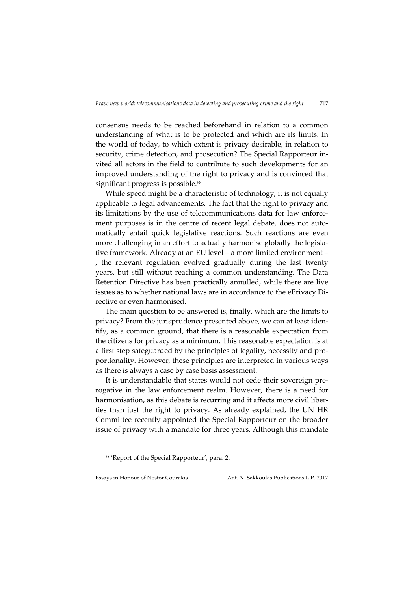consensus needs to be reached beforehand in relation to a common understanding of what is to be protected and which are its limits. In the world of today, to which extent is privacy desirable, in relation to security, crime detection, and prosecution? The Special Rapporteur invited all actors in the field to contribute to such developments for an improved understanding of the right to privacy and is convinced that significant progress is possible.<sup>68</sup>

While speed might be a characteristic of technology, it is not equally applicable to legal advancements. The fact that the right to privacy and its limitations by the use of telecommunications data for law enforcement purposes is in the centre of recent legal debate, does not automatically entail quick legislative reactions. Such reactions are even more challenging in an effort to actually harmonise globally the legislative framework. Already at an EU level – a more limited environment – , the relevant regulation evolved gradually during the last twenty years, but still without reaching a common understanding. The Data Retention Directive has been practically annulled, while there are live issues as to whether national laws are in accordance to the ePrivacy Di‐ rective or even harmonised.

The main question to be answered is, finally, which are the limits to privacy? From the jurisprudence presented above, we can at least identify, as a common ground, that there is a reasonable expectation from the citizens for privacy as a minimum. This reasonable expectation is at a first step safeguarded by the principles of legality, necessity and pro‐ portionality. However, these principles are interpreted in various ways as there is always a case by case basis assessment.

It is understandable that states would not cede their sovereign pre‐ rogative in the law enforcement realm. However, there is a need for harmonisation, as this debate is recurring and it affects more civil liberties than just the right to privacy. As already explained, the UN HR Committee recently appointed the Special Rapporteur on the broader issue of privacy with a mandate for three years. Although this mandate

<sup>68</sup> 'Report of the Special Rapporteur', para. 2.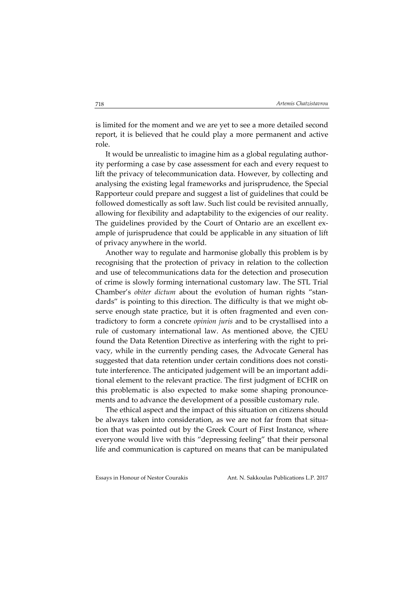is limited for the moment and we are yet to see a more detailed second report, it is believed that he could play a more permanent and active role.

It would be unrealistic to imagine him as a global regulating author‐ ity performing a case by case assessment for each and every request to lift the privacy of telecommunication data. However, by collecting and analysing the existing legal frameworks and jurisprudence, the Special Rapporteur could prepare and suggest a list of guidelines that could be followed domestically as soft law. Such list could be revisited annually, allowing for flexibility and adaptability to the exigencies of our reality. The guidelines provided by the Court of Ontario are an excellent example of jurisprudence that could be applicable in any situation of lift of privacy anywhere in the world.

Another way to regulate and harmonise globally this problem is by recognising that the protection of privacy in relation to the collection and use of telecommunications data for the detection and prosecution of crime is slowly forming international customary law. The STL Trial Chamber's *obiter dictum* about the evolution of human rights "stan‐ dards" is pointing to this direction. The difficulty is that we might observe enough state practice, but it is often fragmented and even contradictory to form a concrete *opinion juris* and to be crystallised into a rule of customary international law. As mentioned above, the CJEU found the Data Retention Directive as interfering with the right to pri‐ vacy, while in the currently pending cases, the Advocate General has suggested that data retention under certain conditions does not constitute interference. The anticipated judgement will be an important addi‐ tional element to the relevant practice. The first judgment of ECHR on this problematic is also expected to make some shaping pronounce‐ ments and to advance the development of a possible customary rule.

The ethical aspect and the impact of this situation on citizens should be always taken into consideration, as we are not far from that situation that was pointed out by the Greek Court of First Instance, where everyone would live with this "depressing feeling" that their personal life and communication is captured on means that can be manipulated